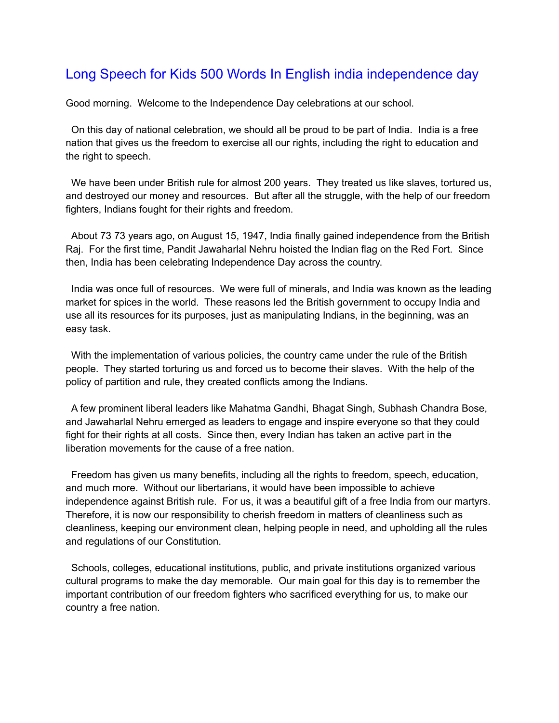## Long Speech for Kids 500 Words In English india independence day

Good morning. Welcome to the Independence Day celebrations at our school.

On this day of national celebration, we should all be proud to be part of India. India is a free nation that gives us the freedom to exercise all our rights, including the right to education and the right to speech.

We have been under British rule for almost 200 years. They treated us like slaves, tortured us, and destroyed our money and resources. But after all the struggle, with the help of our freedom fighters, Indians fought for their rights and freedom.

About 73 73 years ago, on August 15, 1947, India finally gained independence from the British Raj. For the first time, Pandit Jawaharlal Nehru hoisted the Indian flag on the Red Fort. Since then, India has been celebrating Independence Day across the country.

India was once full of resources. We were full of minerals, and India was known as the leading market for spices in the world. These reasons led the British government to occupy India and use all its resources for its purposes, just as manipulating Indians, in the beginning, was an easy task.

With the implementation of various policies, the country came under the rule of the British people. They started torturing us and forced us to become their slaves. With the help of the policy of partition and rule, they created conflicts among the Indians.

A few prominent liberal leaders like Mahatma Gandhi, Bhagat Singh, Subhash Chandra Bose, and Jawaharlal Nehru emerged as leaders to engage and inspire everyone so that they could fight for their rights at all costs. Since then, every Indian has taken an active part in the liberation movements for the cause of a free nation.

Freedom has given us many benefits, including all the rights to freedom, speech, education, and much more. Without our libertarians, it would have been impossible to achieve independence against British rule. For us, it was a beautiful gift of a free India from our martyrs. Therefore, it is now our responsibility to cherish freedom in matters of cleanliness such as cleanliness, keeping our environment clean, helping people in need, and upholding all the rules and regulations of our Constitution.

Schools, colleges, educational institutions, public, and private institutions organized various cultural programs to make the day memorable. Our main goal for this day is to remember the important contribution of our freedom fighters who sacrificed everything for us, to make our country a free nation.